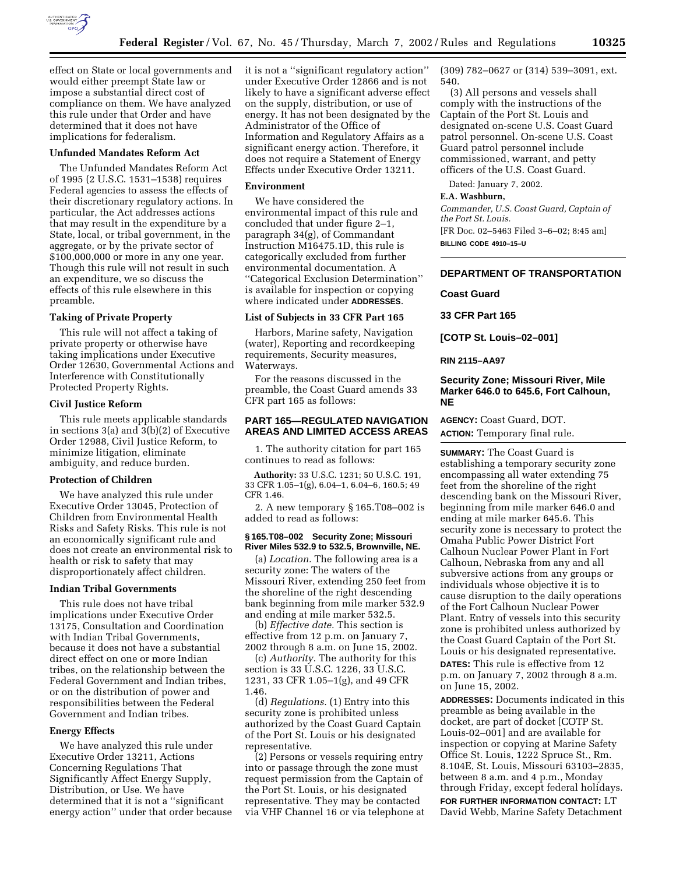

effect on State or local governments and would either preempt State law or impose a substantial direct cost of compliance on them. We have analyzed this rule under that Order and have determined that it does not have implications for federalism.

#### **Unfunded Mandates Reform Act**

The Unfunded Mandates Reform Act of 1995 (2 U.S.C. 1531–1538) requires Federal agencies to assess the effects of their discretionary regulatory actions. In particular, the Act addresses actions that may result in the expenditure by a State, local, or tribal government, in the aggregate, or by the private sector of \$100,000,000 or more in any one year. Though this rule will not result in such an expenditure, we so discuss the effects of this rule elsewhere in this preamble.

#### **Taking of Private Property**

This rule will not affect a taking of private property or otherwise have taking implications under Executive Order 12630, Governmental Actions and Interference with Constitutionally Protected Property Rights.

#### **Civil Justice Reform**

This rule meets applicable standards in sections 3(a) and 3(b)(2) of Executive Order 12988, Civil Justice Reform, to minimize litigation, eliminate ambiguity, and reduce burden.

## **Protection of Children**

We have analyzed this rule under Executive Order 13045, Protection of Children from Environmental Health Risks and Safety Risks. This rule is not an economically significant rule and does not create an environmental risk to health or risk to safety that may disproportionately affect children.

## **Indian Tribal Governments**

This rule does not have tribal implications under Executive Order 13175, Consultation and Coordination with Indian Tribal Governments, because it does not have a substantial direct effect on one or more Indian tribes, on the relationship between the Federal Government and Indian tribes, or on the distribution of power and responsibilities between the Federal Government and Indian tribes.

#### **Energy Effects**

We have analyzed this rule under Executive Order 13211, Actions Concerning Regulations That Significantly Affect Energy Supply, Distribution, or Use. We have determined that it is not a ''significant energy action'' under that order because it is not a ''significant regulatory action'' under Executive Order 12866 and is not likely to have a significant adverse effect on the supply, distribution, or use of energy. It has not been designated by the Administrator of the Office of Information and Regulatory Affairs as a significant energy action. Therefore, it does not require a Statement of Energy Effects under Executive Order 13211.

## **Environment**

We have considered the environmental impact of this rule and concluded that under figure 2–1, paragraph 34(g), of Commandant Instruction M16475.1D, this rule is categorically excluded from further environmental documentation. A ''Categorical Exclusion Determination'' is available for inspection or copying where indicated under **ADDRESSES**.

#### **List of Subjects in 33 CFR Part 165**

Harbors, Marine safety, Navigation (water), Reporting and recordkeeping requirements, Security measures, Waterways.

For the reasons discussed in the preamble, the Coast Guard amends 33 CFR part 165 as follows:

# **PART 165—REGULATED NAVIGATION AREAS AND LIMITED ACCESS AREAS**

1. The authority citation for part 165 continues to read as follows:

**Authority:** 33 U.S.C. 1231; 50 U.S.C. 191, 33 CFR 1.05–1(g), 6.04–1, 6.04–6, 160.5; 49 CFR 1.46.

2. A new temporary § 165.T08–002 is added to read as follows:

#### **§ 165.T08–002 Security Zone; Missouri River Miles 532.9 to 532.5, Brownville, NE.**

(a) *Location.* The following area is a security zone: The waters of the Missouri River, extending 250 feet from the shoreline of the right descending bank beginning from mile marker 532.9 and ending at mile marker 532.5.

(b) *Effective date.* This section is effective from 12 p.m. on January 7, 2002 through 8 a.m. on June 15, 2002.

(c) *Authority.* The authority for this section is 33 U.S.C. 1226, 33 U.S.C. 1231, 33 CFR 1.05–1(g), and 49 CFR 1.46.

(d) *Regulations.* (1) Entry into this security zone is prohibited unless authorized by the Coast Guard Captain of the Port St. Louis or his designated representative.

(2) Persons or vessels requiring entry into or passage through the zone must request permission from the Captain of the Port St. Louis, or his designated representative. They may be contacted via VHF Channel 16 or via telephone at (309) 782–0627 or (314) 539–3091, ext. 540.

(3) All persons and vessels shall comply with the instructions of the Captain of the Port St. Louis and designated on-scene U.S. Coast Guard patrol personnel. On-scene U.S. Coast Guard patrol personnel include commissioned, warrant, and petty officers of the U.S. Coast Guard.

Dated: January 7, 2002.

#### **E.A. Washburn,**

*Commander, U.S. Coast Guard, Captain of the Port St. Louis.*

[FR Doc. 02–5463 Filed 3–6–02; 8:45 am] **BILLING CODE 4910–15–U**

# **DEPARTMENT OF TRANSPORTATION**

# **Coast Guard**

**33 CFR Part 165**

**[COTP St. Louis–02–001]**

#### **RIN 2115–AA97**

## **Security Zone; Missouri River, Mile Marker 646.0 to 645.6, Fort Calhoun, NE**

**AGENCY:** Coast Guard, DOT. **ACTION:** Temporary final rule.

**SUMMARY:** The Coast Guard is establishing a temporary security zone encompassing all water extending 75 feet from the shoreline of the right descending bank on the Missouri River, beginning from mile marker 646.0 and ending at mile marker 645.6. This security zone is necessary to protect the Omaha Public Power District Fort Calhoun Nuclear Power Plant in Fort Calhoun, Nebraska from any and all subversive actions from any groups or individuals whose objective it is to cause disruption to the daily operations of the Fort Calhoun Nuclear Power Plant. Entry of vessels into this security zone is prohibited unless authorized by the Coast Guard Captain of the Port St. Louis or his designated representative.

**DATES:** This rule is effective from 12 p.m. on January 7, 2002 through 8 a.m. on June 15, 2002.

**ADDRESSES:** Documents indicated in this preamble as being available in the docket, are part of docket [COTP St. Louis-02–001] and are available for inspection or copying at Marine Safety Office St. Louis, 1222 Spruce St., Rm. 8.104E, St. Louis, Missouri 63103–2835, between 8 a.m. and 4 p.m., Monday through Friday, except federal holidays.

**FOR FURTHER INFORMATION CONTACT:** LT David Webb, Marine Safety Detachment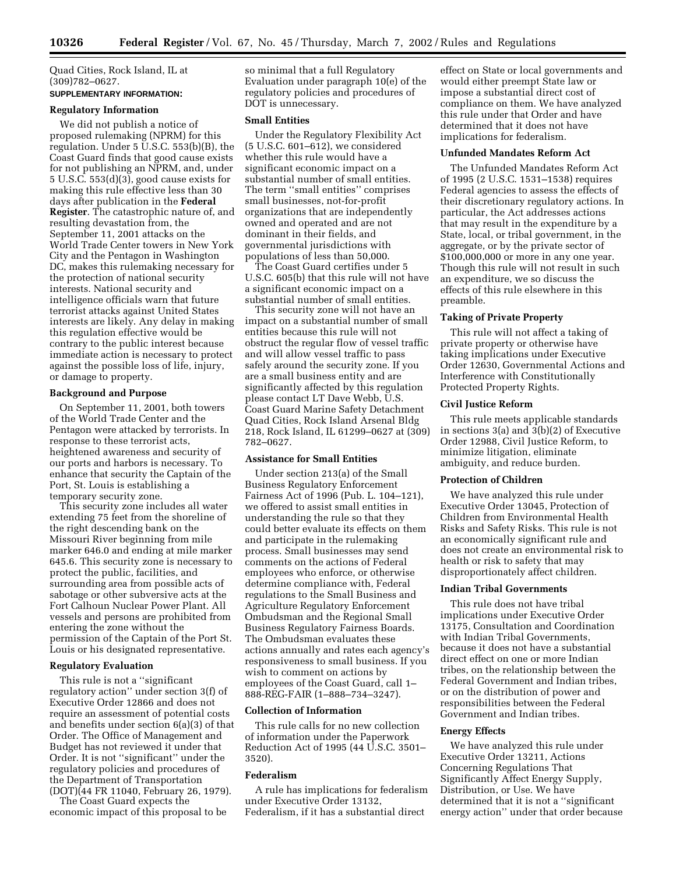Quad Cities, Rock Island, IL at (309)782–0627.

# **SUPPLEMENTARY INFORMATION:**

# **Regulatory Information**

We did not publish a notice of proposed rulemaking (NPRM) for this regulation. Under 5 U.S.C. 553(b)(B), the Coast Guard finds that good cause exists for not publishing an NPRM, and, under 5 U.S.C. 553(d)(3), good cause exists for making this rule effective less than 30 days after publication in the **Federal Register**. The catastrophic nature of, and resulting devastation from, the September 11, 2001 attacks on the World Trade Center towers in New York City and the Pentagon in Washington DC, makes this rulemaking necessary for the protection of national security interests. National security and intelligence officials warn that future terrorist attacks against United States interests are likely. Any delay in making this regulation effective would be contrary to the public interest because immediate action is necessary to protect against the possible loss of life, injury, or damage to property.

## **Background and Purpose**

On September 11, 2001, both towers of the World Trade Center and the Pentagon were attacked by terrorists. In response to these terrorist acts, heightened awareness and security of our ports and harbors is necessary. To enhance that security the Captain of the Port, St. Louis is establishing a temporary security zone.

This security zone includes all water extending 75 feet from the shoreline of the right descending bank on the Missouri River beginning from mile marker 646.0 and ending at mile marker 645.6. This security zone is necessary to protect the public, facilities, and surrounding area from possible acts of sabotage or other subversive acts at the Fort Calhoun Nuclear Power Plant. All vessels and persons are prohibited from entering the zone without the permission of the Captain of the Port St. Louis or his designated representative.

# **Regulatory Evaluation**

This rule is not a ''significant regulatory action'' under section 3(f) of Executive Order 12866 and does not require an assessment of potential costs and benefits under section 6(a)(3) of that Order. The Office of Management and Budget has not reviewed it under that Order. It is not ''significant'' under the regulatory policies and procedures of the Department of Transportation (DOT)(44 FR 11040, February 26, 1979).

The Coast Guard expects the economic impact of this proposal to be

so minimal that a full Regulatory Evaluation under paragraph 10(e) of the regulatory policies and procedures of DOT is unnecessary.

# **Small Entities**

Under the Regulatory Flexibility Act (5 U.S.C. 601–612), we considered whether this rule would have a significant economic impact on a substantial number of small entities. The term ''small entities'' comprises small businesses, not-for-profit organizations that are independently owned and operated and are not dominant in their fields, and governmental jurisdictions with populations of less than 50,000.

The Coast Guard certifies under 5 U.S.C. 605(b) that this rule will not have a significant economic impact on a substantial number of small entities.

This security zone will not have an impact on a substantial number of small entities because this rule will not obstruct the regular flow of vessel traffic and will allow vessel traffic to pass safely around the security zone. If you are a small business entity and are significantly affected by this regulation please contact LT Dave Webb, U.S. Coast Guard Marine Safety Detachment Quad Cities, Rock Island Arsenal Bldg 218, Rock Island, IL 61299–0627 at (309) 782–0627.

## **Assistance for Small Entities**

Under section 213(a) of the Small Business Regulatory Enforcement Fairness Act of 1996 (Pub. L. 104–121), we offered to assist small entities in understanding the rule so that they could better evaluate its effects on them and participate in the rulemaking process. Small businesses may send comments on the actions of Federal employees who enforce, or otherwise determine compliance with, Federal regulations to the Small Business and Agriculture Regulatory Enforcement Ombudsman and the Regional Small Business Regulatory Fairness Boards. The Ombudsman evaluates these actions annually and rates each agency's responsiveness to small business. If you wish to comment on actions by employees of the Coast Guard, call 1– 888-REG-FAIR (1–888–734–3247).

## **Collection of Information**

This rule calls for no new collection of information under the Paperwork Reduction Act of 1995 (44 U.S.C. 3501– 3520).

# **Federalism**

A rule has implications for federalism under Executive Order 13132, Federalism, if it has a substantial direct

effect on State or local governments and would either preempt State law or impose a substantial direct cost of compliance on them. We have analyzed this rule under that Order and have determined that it does not have implications for federalism.

#### **Unfunded Mandates Reform Act**

The Unfunded Mandates Reform Act of 1995 (2 U.S.C. 1531–1538) requires Federal agencies to assess the effects of their discretionary regulatory actions. In particular, the Act addresses actions that may result in the expenditure by a State, local, or tribal government, in the aggregate, or by the private sector of \$100,000,000 or more in any one year. Though this rule will not result in such an expenditure, we so discuss the effects of this rule elsewhere in this preamble.

#### **Taking of Private Property**

This rule will not affect a taking of private property or otherwise have taking implications under Executive Order 12630, Governmental Actions and Interference with Constitutionally Protected Property Rights.

#### **Civil Justice Reform**

This rule meets applicable standards in sections 3(a) and 3(b)(2) of Executive Order 12988, Civil Justice Reform, to minimize litigation, eliminate ambiguity, and reduce burden.

#### **Protection of Children**

We have analyzed this rule under Executive Order 13045, Protection of Children from Environmental Health Risks and Safety Risks. This rule is not an economically significant rule and does not create an environmental risk to health or risk to safety that may disproportionately affect children.

## **Indian Tribal Governments**

This rule does not have tribal implications under Executive Order 13175, Consultation and Coordination with Indian Tribal Governments, because it does not have a substantial direct effect on one or more Indian tribes, on the relationship between the Federal Government and Indian tribes, or on the distribution of power and responsibilities between the Federal Government and Indian tribes.

## **Energy Effects**

We have analyzed this rule under Executive Order 13211, Actions Concerning Regulations That Significantly Affect Energy Supply, Distribution, or Use. We have determined that it is not a ''significant energy action'' under that order because